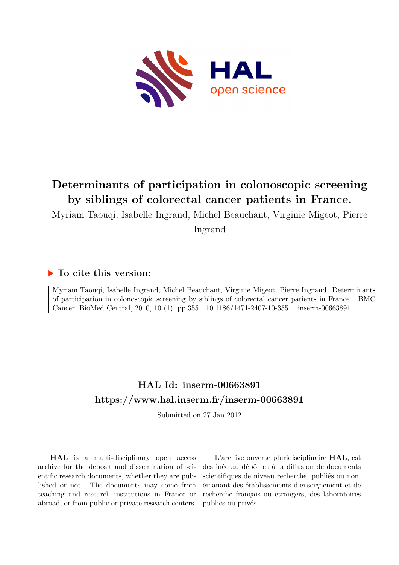

# **Determinants of participation in colonoscopic screening by siblings of colorectal cancer patients in France.**

Myriam Taouqi, Isabelle Ingrand, Michel Beauchant, Virginie Migeot, Pierre

Ingrand

# **To cite this version:**

Myriam Taouqi, Isabelle Ingrand, Michel Beauchant, Virginie Migeot, Pierre Ingrand. Determinants of participation in colonoscopic screening by siblings of colorectal cancer patients in France.. BMC Cancer, BioMed Central, 2010, 10 (1), pp.355. 10.1186/1471-2407-10-355. inserm-00663891

# **HAL Id: inserm-00663891 <https://www.hal.inserm.fr/inserm-00663891>**

Submitted on 27 Jan 2012

**HAL** is a multi-disciplinary open access archive for the deposit and dissemination of scientific research documents, whether they are published or not. The documents may come from teaching and research institutions in France or abroad, or from public or private research centers.

L'archive ouverte pluridisciplinaire **HAL**, est destinée au dépôt et à la diffusion de documents scientifiques de niveau recherche, publiés ou non, émanant des établissements d'enseignement et de recherche français ou étrangers, des laboratoires publics ou privés.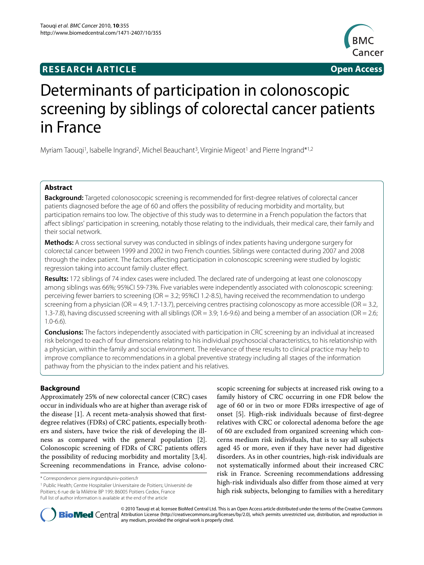# **RESEARCH ARTICLE Open Access**



# Determinants of participation in colonoscopic screening by siblings of colorectal cancer patients in France

Myriam Taougi<sup>1</sup>, Isabelle Ingrand<sup>2</sup>, Michel Beauchant<sup>3</sup>, Virginie Migeot<sup>1</sup> and Pierre Ingrand<sup>\*1,2</sup>

# **Abstract**

**Background:** Targeted colonosocopic screening is recommended for first-degree relatives of colorectal cancer patients diagnosed before the age of 60 and offers the possibility of reducing morbidity and mortality, but participation remains too low. The objective of this study was to determine in a French population the factors that affect siblings' participation in screening, notably those relating to the individuals, their medical care, their family and their social network.

**Methods:** A cross sectional survey was conducted in siblings of index patients having undergone surgery for colorectal cancer between 1999 and 2002 in two French counties. Siblings were contacted during 2007 and 2008 through the index patient. The factors affecting participation in colonoscopic screening were studied by logistic regression taking into account family cluster effect.

**Results:** 172 siblings of 74 index cases were included. The declared rate of undergoing at least one colonoscopy among siblings was 66%; 95%CI 59-73%. Five variables were independently associated with colonoscopic screening: perceiving fewer barriers to screening (OR = 3.2; 95%CI 1.2-8.5), having received the recommendation to undergo screening from a physician (OR = 4.9; 1.7-13.7), perceiving centres practising colonoscopy as more accessible (OR = 3.2, 1.3-7.8), having discussed screening with all siblings (OR = 3.9; 1.6-9.6) and being a member of an association (OR = 2.6; 1.0-6.6).

**Conclusions:** The factors independently associated with participation in CRC screening by an individual at increased risk belonged to each of four dimensions relating to his individual psychosocial characteristics, to his relationship with a physician, within the family and social environment. The relevance of these results to clinical practice may help to improve compliance to recommendations in a global preventive strategy including all stages of the information pathway from the physician to the index patient and his relatives.

# **Background**

Approximately 25% of new colorectal cancer (CRC) cases occur in individuals who are at higher than average risk of the disease [1]. A recent meta-analysis showed that firstdegree relatives (FDRs) of CRC patients, especially brothers and sisters, have twice the risk of developing the illness as compared with the general population [2]. Colonoscopic screening of FDRs of CRC patients offers the possibility of reducing morbidity and mortality [3,4]. Screening recommendations in France, advise colono-

1 Public Health; Centre Hospitalier Universitaire de Poitiers; Université de Poitiers; 6 rue de la Milétrie BP 199; 86005 Poitiers Cedex, France Full list of author information is available at the end of the article

scopic screening for subjects at increased risk owing to a family history of CRC occurring in one FDR below the age of 60 or in two or more FDRs irrespective of age of onset [5]. High-risk individuals because of first-degree relatives with CRC or colorectal adenoma before the age of 60 are excluded from organized screening which concerns medium risk individuals, that is to say all subjects aged 45 or more, even if they have never had digestive disorders. As in other countries, high-risk individuals are not systematically informed about their increased CRC risk in France. Screening recommendations addressing high-risk individuals also differ from those aimed at very high risk subjects, belonging to families with a hereditary



© 2010 Taouqi et al; licensee BioMed Central Ltd. This is an Open Access article distributed under the terms of the Creative Commons **Bio Med Centra** Attribution License (http://creativecommons.org/licenses/by/2.0), which permits unrestricted use, distribution, and reproduction in any medium, provided the original work is properly cited.

<sup>\*</sup> Correspondence: pierre.ingrand@univ-poitiers.fr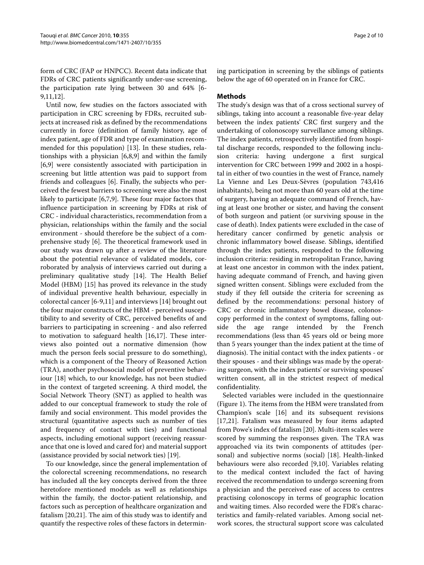form of CRC (FAP or HNPCC). Recent data indicate that FDRs of CRC patients significantly under-use screening, the participation rate lying between 30 and 64% [6- 9,11,12].

Until now, few studies on the factors associated with participation in CRC screening by FDRs, recruited subjects at increased risk as defined by the recommendations currently in force (definition of family history, age of index patient, age of FDR and type of examination recommended for this population) [13]. In these studies, relationships with a physician [6,8,9] and within the family [6,9] were consistently associated with participation in screening but little attention was paid to support from friends and colleagues [6]. Finally, the subjects who perceived the fewest barriers to screening were also the most likely to participate [6,7,9]. These four major factors that influence participation in screening by FDRs at risk of CRC - individual characteristics, recommendation from a physician, relationships within the family and the social environment - should therefore be the subject of a comprehensive study [6]. The theoretical framework used in our study was drawn up after a review of the literature about the potential relevance of validated models, corroborated by analysis of interviews carried out during a preliminary qualitative study [14]. The Health Belief Model (HBM) [15] has proved its relevance in the study of individual preventive health behaviour, especially in colorectal cancer [6-9,11] and interviews [14] brought out the four major constructs of the HBM - perceived susceptibility to and severity of CRC, perceived benefits of and barriers to participating in screening - and also referred to motivation to safeguard health [16,17]. These interviews also pointed out a normative dimension (how much the person feels social pressure to do something), which is a component of the Theory of Reasoned Action (TRA), another psychosocial model of preventive behaviour [18] which, to our knowledge, has not been studied in the context of targeted screening. A third model, the Social Network Theory (SNT) as applied to health was added to our conceptual framework to study the role of family and social environment. This model provides the structural (quantitative aspects such as number of ties and frequency of contact with ties) and functional aspects, including emotional support (receiving reassurance that one is loved and cared for) and material support (assistance provided by social network ties) [19].

To our knowledge, since the general implementation of the colorectal screening recommendations, no research has included all the key concepts derived from the three heretofore mentioned models as well as relationships within the family, the doctor-patient relationship, and factors such as perception of healthcare organization and fatalism [20,21]. The aim of this study was to identify and quantify the respective roles of these factors in determin-

ing participation in screening by the siblings of patients below the age of 60 operated on in France for CRC.

# **Methods**

The study's design was that of a cross sectional survey of siblings, taking into account a reasonable five-year delay between the index patients' CRC first surgery and the undertaking of colonoscopy surveillance among siblings. The index patients, retrospectively identified from hospital discharge records, responded to the following inclusion criteria: having undergone a first surgical intervention for CRC between 1999 and 2002 in a hospital in either of two counties in the west of France, namely La Vienne and Les Deux-Sèvres (population 743,416 inhabitants), being not more than 60 years old at the time of surgery, having an adequate command of French, having at least one brother or sister, and having the consent of both surgeon and patient (or surviving spouse in the case of death). Index patients were excluded in the case of hereditary cancer confirmed by genetic analysis or chronic inflammatory bowel disease. Siblings, identified through the index patients, responded to the following inclusion criteria: residing in metropolitan France, having at least one ancestor in common with the index patient, having adequate command of French, and having given signed written consent. Siblings were excluded from the study if they fell outside the criteria for screening as defined by the recommendations: personal history of CRC or chronic inflammatory bowel disease, colonoscopy performed in the context of symptoms, falling outside the age range intended by the French recommendations (less than 45 years old or being more than 5 years younger than the index patient at the time of diagnosis). The initial contact with the index patients - or their spouses - and their siblings was made by the operating surgeon, with the index patients' or surviving spouses' written consent, all in the strictest respect of medical confidentiality.

Selected variables were included in the questionnaire (Figure 1). The items from the HBM were translated from Champion's scale [16] and its subsequent revisions [17,21]. Fatalism was measured by four items adapted from Powe's index of fatalism [20]. Multi-item scales were scored by summing the responses given. The TRA was approached via its twin components of attitudes (personal) and subjective norms (social) [18]. Health-linked behaviours were also recorded [9,10]. Variables relating to the medical context included the fact of having received the recommendation to undergo screening from a physician and the perceived ease of access to centres practising colonoscopy in terms of geographic location and waiting times. Also recorded were the FDR's characteristics and family-related variables. Among social network scores, the structural support score was calculated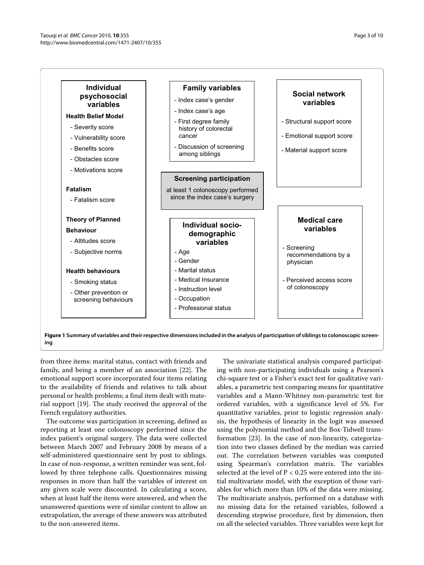

**Figure 1 Summary of variables and their respective dimensions included in the analysis of participation of siblings to colonoscopic screening**.

from three items: marital status, contact with friends and family, and being a member of an association [22]. The emotional support score incorporated four items relating to the availability of friends and relatives to talk about personal or health problems; a final item dealt with material support [19]. The study received the approval of the French regulatory authorities.

The outcome was participation in screening, defined as reporting at least one colonoscopy performed since the index patient's original surgery. The data were collected between March 2007 and February 2008 by means of a self-administered questionnaire sent by post to siblings. In case of non-response, a written reminder was sent, followed by three telephone calls. Questionnaires missing responses in more than half the variables of interest on any given scale were discounted. In calculating a score, when at least half the items were answered, and when the unanswered questions were of similar content to allow an extrapolation, the average of these answers was attributed to the non-answered items.

The univariate statistical analysis compared participating with non-participating individuals using a Pearson's chi-square test or a Fisher's exact test for qualitative variables, a parametric test comparing means for quantitative variables and a Mann-Whitney non-parametric test for ordered variables, with a significance level of 5%. For quantitative variables, prior to logistic regression analysis, the hypothesis of linearity in the logit was assessed using the polynomial method and the Box-Tidwell transformation [23]. In the case of non-linearity, categorization into two classes defined by the median was carried out. The correlation between variables was computed using Spearman's correlation matrix. The variables selected at the level of P < 0.25 were entered into the initial multivariate model, with the exception of those variables for which more than 10% of the data were missing. The multivariate analysis, performed on a database with no missing data for the retained variables, followed a descending stepwise procedure, first by dimension, then on all the selected variables. Three variables were kept for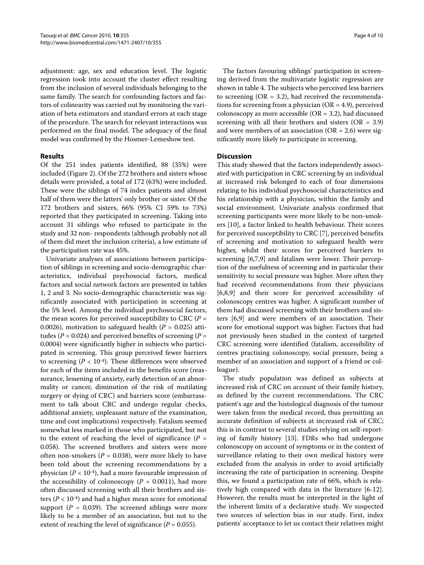adjustment: age, sex and education level. The logistic regression took into account the cluster effect resulting from the inclusion of several individuals belonging to the same family. The search for confounding factors and factors of colinearity was carried out by monitoring the variation of beta estimators and standard errors at each stage of the procedure. The search for relevant interactions was performed on the final model. The adequacy of the final model was confirmed by the Hosmer-Lemeshow test.

#### **Results**

Of the 251 index patients identified, 88 (35%) were included (Figure 2). Of the 272 brothers and sisters whose details were provided, a total of 172 (63%) were included. These were the siblings of 74 index patients and almost half of them were the latters' only brother or sister. Of the 172 brothers and sisters, 66% (95% CI 59% to 73%) reported that they participated in screening. Taking into account 31 siblings who refused to participate in the study and 32 non- respondents (although probably not all of them did meet the inclusion criteria), a low estimate of the participation rate was 45%.

Univariate analyses of associations between participation of siblings in screening and socio-demographic characteristics, individual psychosocial factors, medical factors and social network factors are presented in tables 1, 2 and 3. No socio-demographic characteristic was significantly associated with participation in screening at the 5% level. Among the individual psychosocial factors, the mean scores for perceived susceptibility to CRC (*P* = 0.0026), motivation to safeguard health  $(P = 0.025)$  attitudes ( $P = 0.024$ ) and perceived benefits of screening ( $P =$ 0.0004) were significantly higher in subjects who participated in screening. This group perceived fewer barriers to screening  $(P < 10^{-4})$ . These differences were observed for each of the items included in the benefits score (reassurance, lessening of anxiety, early detection of an abnormality or cancer, diminution of the risk of mutilating surgery or dying of CRC) and barriers score (embarrassment to talk about CRC and undergo regular checks, additional anxiety, unpleasant nature of the examination, time and cost implications) respectively. Fatalism seemed somewhat less marked in those who participated, but not to the extent of reaching the level of significance  $(P =$ 0.058). The screened brothers and sisters were more often non-smokers ( $P = 0.038$ ), were more likely to have been told about the screening recommendations by a physician (*P* < 10-4), had a more favourable impression of the accessibility of colonoscopy  $(P = 0.0011)$ , had more often discussed screening with all their brothers and sisters (*P* < 10-4) and had a higher mean score for emotional support  $(P = 0.039)$ . The screened siblings were more likely to be a member of an association, but not to the extent of reaching the level of significance (*P* = 0.055).

The factors favouring siblings' participation in screening derived from the multivariate logistic regression are shown in table 4. The subjects who perceived less barriers to screening ( $OR = 3.2$ ), had received the recommendations for screening from a physician  $(OR = 4.9)$ , perceived colonoscopy as more accessible ( $OR = 3.2$ ), had discussed screening with all their brothers and sisters  $(OR = 3.9)$ and were members of an association ( $OR = 2.6$ ) were significantly more likely to participate in screening.

## **Discussion**

This study showed that the factors independently associated with participation in CRC screening by an individual at increased risk belonged to each of four dimensions relating to his individual psychosocial characteristics and his relationship with a physician, within the family and social environment. Univariate analysis confirmed that screening participants were more likely to be non-smokers [10], a factor linked to health behaviour. Their scores for perceived susceptibility to CRC [7], perceived benefits of screening and motivation to safeguard health were higher, whilst their scores for perceived barriers to screening [6,7,9] and fatalism were lower. Their perception of the usefulness of screening and in particular their sensitivity to social pressure was higher. More often they had received recommendations from their physicians [6,8,9] and their score for perceived accessibility of colonoscopy centres was higher. A significant number of them had discussed screening with their brothers and sisters [6,9] and were members of an association. Their score for emotional support was higher. Factors that had not previously been studied in the context of targeted CRC screening were identified (fatalism, accessibility of centres practising colonoscopy, social pressure, being a member of an association and support of a friend or colleague).

The study population was defined as subjects at increased risk of CRC on account of their family history, as defined by the current recommendations. The CRC patient's age and the histological diagnosis of the tumour were taken from the medical record, thus permitting an accurate definition of subjects at increased risk of CRC; this is in contrast to several studies relying on self-reporting of family history [13]. FDRs who had undergone colonoscopy on account of symptoms or in the context of surveillance relating to their own medical history were excluded from the analysis in order to avoid artificially increasing the rate of participation in screening. Despite this, we found a participation rate of 66%, which is relatively high compared with data in the literature [6-12]. However, the results must be interpreted in the light of the inherent limits of a declarative study. We suspected two sources of selection bias in our study. First, index patients' acceptance to let us contact their relatives might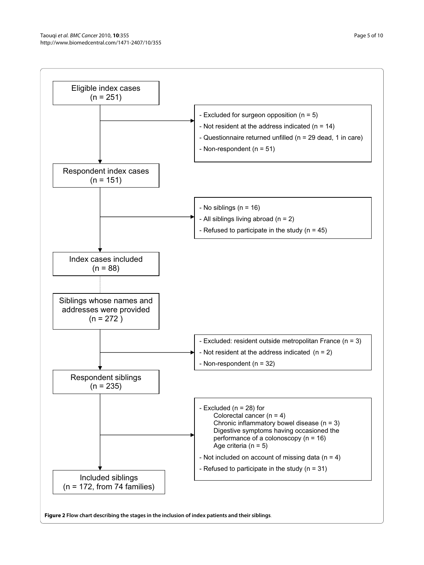

**Figure 2 Flow chart describing the stages in the inclusion of index patients and their siblings**.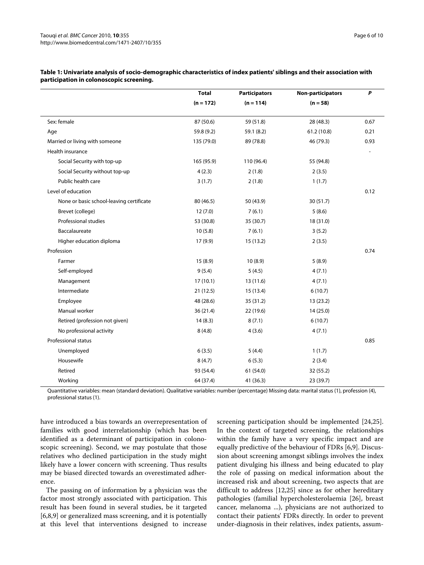|                                          | <b>Total</b> | <b>Participators</b> | <b>Non-participators</b> | P    |
|------------------------------------------|--------------|----------------------|--------------------------|------|
|                                          | $(n = 172)$  | $(n = 114)$          | $(n = 58)$               |      |
| Sex: female                              | 87 (50.6)    | 59 (51.8)            | 28 (48.3)                | 0.67 |
| Age                                      | 59.8 (9.2)   | 59.1 (8.2)           | 61.2(10.8)               | 0.21 |
| Married or living with someone           | 135 (79.0)   | 89 (78.8)            | 46 (79.3)                | 0.93 |
| Health insurance                         |              |                      |                          |      |
| Social Security with top-up              | 165 (95.9)   | 110 (96.4)           | 55 (94.8)                |      |
| Social Security without top-up           | 4(2.3)       | 2(1.8)               | 2(3.5)                   |      |
| Public health care                       | 3(1.7)       | 2(1.8)               | 1(1.7)                   |      |
| Level of education                       |              |                      |                          | 0.12 |
| None or basic school-leaving certificate | 80 (46.5)    | 50 (43.9)            | 30 (51.7)                |      |
| Brevet (college)                         | 12(7.0)      | 7(6.1)               | 5(8.6)                   |      |
| <b>Professional studies</b>              | 53 (30.8)    | 35 (30.7)            | 18 (31.0)                |      |
| Baccalaureate                            | 10(5.8)      | 7(6.1)               | 3(5.2)                   |      |
| Higher education diploma                 | 17(9.9)      | 15(13.2)             | 2(3.5)                   |      |
| Profession                               |              |                      |                          | 0.74 |
| Farmer                                   | 15(8.9)      | 10(8.9)              | 5(8.9)                   |      |
| Self-employed                            | 9(5.4)       | 5(4.5)               | 4(7.1)                   |      |
| Management                               | 17(10.1)     | 13(11.6)             | 4(7.1)                   |      |
| Intermediate                             | 21(12.5)     | 15 (13.4)            | 6(10.7)                  |      |
| Employee                                 | 48 (28.6)    | 35 (31.2)            | 13 (23.2)                |      |
| Manual worker                            | 36(21.4)     | 22 (19.6)            | 14(25.0)                 |      |
| Retired (profession not given)           | 14(8.3)      | 8(7.1)               | 6(10.7)                  |      |
| No professional activity                 | 8(4.8)       | 4(3.6)               | 4(7.1)                   |      |
| <b>Professional status</b>               |              |                      |                          | 0.85 |
| Unemployed                               | 6(3.5)       | 5(4.4)               | 1(1.7)                   |      |
| Housewife                                | 8(4.7)       | 6(5.3)               | 2(3.4)                   |      |
| Retired                                  | 93 (54.4)    | 61 (54.0)            | 32 (55.2)                |      |
| Working                                  | 64 (37.4)    | 41 (36.3)            | 23 (39.7)                |      |

## **Table 1: Univariate analysis of socio-demographic characteristics of index patients' siblings and their association with participation in colonoscopic screening.**

Quantitative variables: mean (standard deviation). Qualitative variables: number (percentage) Missing data: marital status (1), profession (4), professional status (1).

have introduced a bias towards an overrepresentation of families with good interrelationship (which has been identified as a determinant of participation in colonoscopic screening). Second, we may postulate that those relatives who declined participation in the study might likely have a lower concern with screening. Thus results may be biased directed towards an overestimated adherence.

The passing on of information by a physician was the factor most strongly associated with participation. This result has been found in several studies, be it targeted [6,8,9] or generalized mass screening, and it is potentially at this level that interventions designed to increase screening participation should be implemented [24,25]. In the context of targeted screening, the relationships within the family have a very specific impact and are equally predictive of the behaviour of FDRs [6,9]. Discussion about screening amongst siblings involves the index patient divulging his illness and being educated to play the role of passing on medical information about the increased risk and about screening, two aspects that are difficult to address [12,25] since as for other hereditary pathologies (familial hypercholesterolaemia [26], breast cancer, melanoma ...), physicians are not authorized to contact their patients' FDRs directly. In order to prevent under-diagnosis in their relatives, index patients, assum-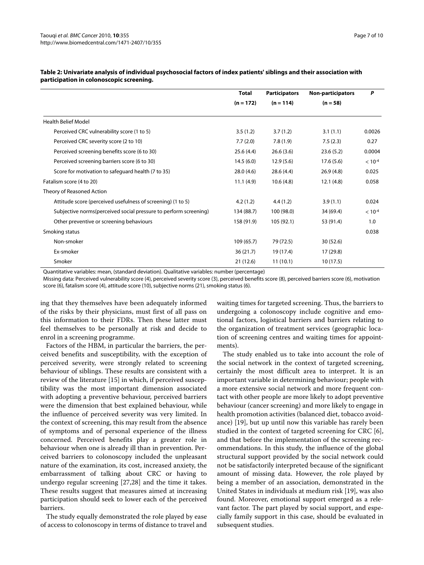|                                                                   | <b>Total</b> | <b>Participators</b> | <b>Non-participators</b> | P           |
|-------------------------------------------------------------------|--------------|----------------------|--------------------------|-------------|
|                                                                   | $(n = 172)$  | $(n = 114)$          | $(n = 58)$               |             |
| <b>Health Belief Model</b>                                        |              |                      |                          |             |
| Perceived CRC vulnerability score (1 to 5)                        | 3.5(1.2)     | 3.7(1.2)             | 3.1(1.1)                 | 0.0026      |
| Perceived CRC severity score (2 to 10)                            | 7.7(2.0)     | 7.8(1.9)             | 7.5(2.3)                 | 0.27        |
| Perceived screening benefits score (6 to 30)                      | 25.6(4.4)    | 26.6(3.6)            | 23.6(5.2)                | 0.0004      |
| Perceived screening barriers score (6 to 30)                      | 14.5(6.0)    | 12.9(5.6)            | 17.6(5.6)                | $< 10^{-4}$ |
| Score for motivation to safeguard health (7 to 35)                | 28.0(4.6)    | 28.6(4.4)            | 26.9(4.8)                | 0.025       |
| Fatalism score (4 to 20)                                          | 11.1(4.9)    | 10.6(4.8)            | 12.1(4.8)                | 0.058       |
| Theory of Reasoned Action                                         |              |                      |                          |             |
| Attitude score (perceived usefulness of screening) (1 to 5)       | 4.2(1.2)     | 4.4(1.2)             | 3.9(1.1)                 | 0.024       |
| Subjective norms (perceived social pressure to perform screening) | 134 (88.7)   | 100 (98.0)           | 34 (69.4)                | $< 10^{-4}$ |
| Other preventive or screening behaviours                          | 158 (91.9)   | 105 (92.1)           | 53 (91.4)                | 1.0         |
| Smoking status                                                    |              |                      |                          | 0.038       |
| Non-smoker                                                        | 109(65.7)    | 79 (72.5)            | 30 (52.6)                |             |
| Ex-smoker                                                         | 36(21.7)     | 19 (17.4)            | 17 (29.8)                |             |
| Smoker                                                            | 21(12.6)     | 11(10.1)             | 10(17.5)                 |             |

### **Table 2: Univariate analysis of individual psychosocial factors of index patients' siblings and their association with participation in colonoscopic screening.**

Quantitative variables: mean, (standard deviation). Qualitative variables: number (percentage)

Missing data: Perceived vulnerability score (4), perceived severity score (3), perceived benefits score (8), perceived barriers score (6), motivation score (6), fatalism score (4), attitude score (10), subjective norms (21), smoking status (6).

ing that they themselves have been adequately informed of the risks by their physicians, must first of all pass on this information to their FDRs. Then these latter must feel themselves to be personally at risk and decide to enrol in a screening programme.

Factors of the HBM, in particular the barriers, the perceived benefits and susceptibility, with the exception of perceived severity, were strongly related to screening behaviour of siblings. These results are consistent with a review of the literature [15] in which, if perceived susceptibility was the most important dimension associated with adopting a preventive behaviour, perceived barriers were the dimension that best explained behaviour, while the influence of perceived severity was very limited. In the context of screening, this may result from the absence of symptoms and of personal experience of the illness concerned. Perceived benefits play a greater role in behaviour when one is already ill than in prevention. Perceived barriers to colonoscopy included the unpleasant nature of the examination, its cost, increased anxiety, the embarrassment of talking about CRC or having to undergo regular screening [27,28] and the time it takes. These results suggest that measures aimed at increasing participation should seek to lower each of the perceived barriers.

The study equally demonstrated the role played by ease of access to colonoscopy in terms of distance to travel and waiting times for targeted screening. Thus, the barriers to undergoing a colonoscopy include cognitive and emotional factors, logistical barriers and barriers relating to the organization of treatment services (geographic location of screening centres and waiting times for appointments).

The study enabled us to take into account the role of the social network in the context of targeted screening, certainly the most difficult area to interpret. It is an important variable in determining behaviour; people with a more extensive social network and more frequent contact with other people are more likely to adopt preventive behaviour (cancer screening) and more likely to engage in health promotion activities (balanced diet, tobacco avoidance) [19], but up until now this variable has rarely been studied in the context of targeted screening for CRC [6], and that before the implementation of the screening recommendations. In this study, the influence of the global structural support provided by the social network could not be satisfactorily interpreted because of the significant amount of missing data. However, the role played by being a member of an association, demonstrated in the United States in individuals at medium risk [19], was also found. Moreover, emotional support emerged as a relevant factor. The part played by social support, and especially family support in this case, should be evaluated in subsequent studies.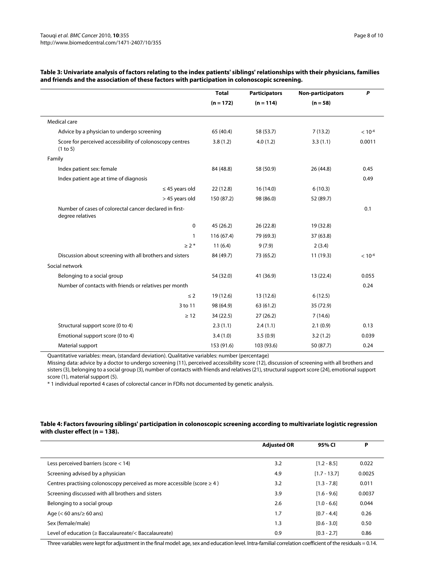|                                                                             | <b>Total</b> | <b>Participators</b> | <b>Non-participators</b> | P           |
|-----------------------------------------------------------------------------|--------------|----------------------|--------------------------|-------------|
|                                                                             | $(n = 172)$  | $(n = 114)$          | $(n = 58)$               |             |
| Medical care                                                                |              |                      |                          |             |
| Advice by a physician to undergo screening                                  | 65 (40.4)    | 58 (53.7)            | 7(13.2)                  | $< 10^{-4}$ |
| Score for perceived accessibility of colonoscopy centres<br>(1 to 5)        | 3.8(1.2)     | 4.0(1.2)             | 3.3(1.1)                 | 0.0011      |
| Family                                                                      |              |                      |                          |             |
| Index patient sex: female                                                   | 84 (48.8)    | 58 (50.9)            | 26 (44.8)                | 0.45        |
| Index patient age at time of diagnosis                                      |              |                      |                          | 0.49        |
| $\leq$ 45 years old                                                         | 22 (12.8)    | 16(14.0)             | 6(10.3)                  |             |
| > 45 years old                                                              | 150 (87.2)   | 98 (86.0)            | 52 (89.7)                |             |
| Number of cases of colorectal cancer declared in first-<br>degree relatives |              |                      |                          | 0.1         |
| 0                                                                           | 45 (26.2)    | 26(22.8)             | 19 (32.8)                |             |
| $\mathbf{1}$                                                                | 116 (67.4)   | 79 (69.3)            | 37 (63.8)                |             |
| $\geq 2$ *                                                                  | 11(6.4)      | 9(7.9)               | 2(3.4)                   |             |
| Discussion about screening with all brothers and sisters                    | 84 (49.7)    | 73 (65.2)            | 11(19.3)                 | $< 10^{-4}$ |
| Social network                                                              |              |                      |                          |             |
| Belonging to a social group                                                 | 54 (32.0)    | 41 (36.9)            | 13 (22.4)                | 0.055       |
| Number of contacts with friends or relatives per month                      |              |                      |                          | 0.24        |
| $\leq$ 2                                                                    | 19 (12.6)    | 13 (12.6)            | 6(12.5)                  |             |
| 3 to 11                                                                     | 98 (64.9)    | 63 (61.2)            | 35 (72.9)                |             |
| $\geq 12$                                                                   | 34 (22.5)    | 27(26.2)             | 7(14.6)                  |             |
| Structural support score (0 to 4)                                           | 2.3(1.1)     | 2.4(1.1)             | 2.1(0.9)                 | 0.13        |
| Emotional support score (0 to 4)                                            | 3.4(1.0)     | 3.5(0.9)             | 3.2(1.2)                 | 0.039       |
| Material support                                                            | 153 (91.6)   | 103 (93.6)           | 50 (87.7)                | 0.24        |

## **Table 3: Univariate analysis of factors relating to the index patients' siblings' relationships with their physicians, families and friends and the association of these factors with participation in colonoscopic screening.**

Quantitative variables: mean, (standard deviation). Qualitative variables: number (percentage)

Missing data: advice by a doctor to undergo screening (11), perceived accessibility score (12), discussion of screening with all brothers and sisters (3), belonging to a social group (3), number of contacts with friends and relatives (21), structural support score (24), emotional support score (1), material support (5).

\* 1 individual reported 4 cases of colorectal cancer in FDRs not documented by genetic analysis.

## **Table 4: Factors favouring siblings' participation in colonoscopic screening according to multivariate logistic regression with cluster effect (n = 138).**

|                                                                               | <b>Adjusted OR</b> | 95% CI         | P      |
|-------------------------------------------------------------------------------|--------------------|----------------|--------|
|                                                                               |                    |                |        |
| Less perceived barriers (score $<$ 14)                                        | 3.2                | $[1.2 - 8.5]$  | 0.022  |
| Screening advised by a physician                                              | 4.9                | $[1.7 - 13.7]$ | 0.0025 |
| Centres practising colonoscopy perceived as more accessible (score $\geq 4$ ) | 3.2                | $[1.3 - 7.8]$  | 0.011  |
| Screening discussed with all brothers and sisters                             | 3.9                | $[1.6 - 9.6]$  | 0.0037 |
| Belonging to a social group                                                   | 2.6                | $[1.0 - 6.6]$  | 0.044  |
| Age ( $< 60$ ans/ $\geq 60$ ans)                                              | 1.7                | $[0.7 - 4.4]$  | 0.26   |
| Sex (female/male)                                                             | 1.3                | $[0.6 - 3.0]$  | 0.50   |
| Level of education (≥ Baccalaureate/< Baccalaureate)                          | 0.9                | $[0.3 - 2.7]$  | 0.86   |

Three variables were kept for adjustment in the final model: age, sex and education level. Intra-familial correlation coefficient of the residuals = 0.14.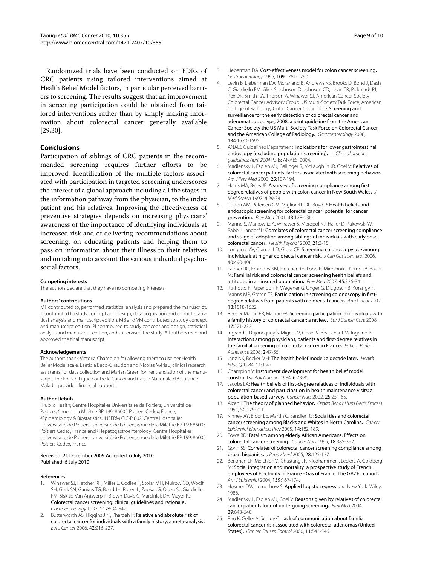Randomized trials have been conducted on FDRs of CRC patients using tailored interventions aimed at Health Belief Model factors, in particular perceived barriers to screening. The results suggest that an improvement in screening participation could be obtained from tailored interventions rather than by simply making information about colorectal cancer generally available [29,30].

#### **Conclusions**

Participation of siblings of CRC patients in the recommended screening requires further efforts to be improved. Identification of the multiple factors associated with participation in targeted screening underscores the interest of a global approach including all the stages in the information pathway from the physician, to the index patient and his relatives. Improving the effectiveness of preventive strategies depends on increasing physicians' awareness of the importance of identifying individuals at increased risk and of delivering recommendations about screening, on educating patients and helping them to pass on information about their illness to their relatives and on taking into account the various individual psychosocial factors.

#### **Competing interests**

The authors declare that they have no competing interests.

#### **Authors' contributions**

MT contributed to, performed statistical analysis and prepared the manuscript. II contributed to study concept and design, data acquisition and control, statistical analysis and manuscript edition. MB and VM contributed to study concept and manuscript edition. PL contributed to study concept and design, statistical analysis and manuscript edition, and supervised the study. All authors read and approved the final manuscript.

#### **Acknowledgements**

The authors thank Victoria Champion for allowing them to use her Health Belief Model scale, Laeticia Becq-Giraudon and Nicolas Mériau, clinical research assistants, for data collection and Marian Green for her translation of the manuscript. The French Ligue contre le Cancer and Caisse Nationale d'Assurance Maladie provided financial support.

#### **Author Details**

1Public Health; Centre Hospitalier Universitaire de Poitiers; Université de Poitiers; 6 rue de la Milétrie BP 199; 86005 Poitiers Cedex, France,<br><sup>2</sup>Epidemiology & Biostatistics, INSERM CIC-P 802; Centre Hospitalier Universitaire de Poitiers; Université de Poitiers; 6 rue de la Milétrie BP 199; 86005 Poitiers Cedex, France and 3Hepatogastroenterology; Centre Hospitalier Universitaire de Poitiers; Université de Poitiers; 6 rue de la Milétrie BP 199; 86005 Poitiers Cedex, France

#### Received: 21 December 2009 Accepted: 6 July 2010 Published: 6 July 2010

#### **References**

- 1. Winawer SJ, Fletcher RH, Miller L, Godlee F, Stolar MH, Mulrow CD, Woolf SH, Glick SN, Ganiats TG, Bond JH, Rosen L, Zapka JG, Olsen SJ, Giardiello FM, Sisk JE, Van Antwerp R, Brown-Davis C, Marciniak DA, Mayer RJ: Colorectal cancer screening: clinical guidelines and rationale**.** Gastroenterology 1997, 112:594-642.
- 2. Butterworth AS, Higgins JPT, Pharoah P: Relative and absolute risk of colorectal cancer for individuals with a family history: a meta-analysis**[.](http://www.ncbi.nlm.nih.gov/entrez/query.fcgi?cmd=Retrieve&db=PubMed&dopt=Abstract&list_uids=16338133)** Eur J Cancer 2006, 42:216-227.
- 3. Lieberman DA: Cost-effectiveness model for colon cancer screening**.** Gastroenterology 1995, 109:1781-1790.
- 4. Levin B, Lieberman DA, McFarland B, Andrews KS, Brooks D, Bond J, Dash C, Giardiello FM, Glick S, Johnson D, Johnson CD, Levin TR, Pickhardt PJ, Rex DK, Smith RA, Thorson A, Winawer SJ, American Cancer Society Colorectal Cancer Advisory Group; US Multi-Society Task Force; American College of Radiology Colon Cancer Committee: Screening and surveillance for the early detection of colorectal cancer and adenomatous polyps, 2008: a joint guideline from the American Cancer Society the US Multi-Society Task Force on Colorectal Cancer, and the American College of Radiology**.** Gastroenterology 2008, 134:1570-1595.
- 5. ANAES Guidelines Department: Indications for lower gastrointestinal endoscopy (excluding population screening)**.** In Clinical practice guidelines: April 2004 Paris: ANAES; 2004.
- 6. Madlensky L, Esplen MJ, Gallinger S, McLaughlin JR, Goel V: Relatives of colorectal cancer patients: factors associated with screening behavior**.** Am J Prev Med 2003, 25:187-194.
- 7. Harris MA, Byles JE: A survey of screening compliance among first degree relatives of people with colon cancer in New South Wales**.** J Med Screen 1997, 4:29-34.
- 8. Codori AM, Petersen GM, Miglioretti DL, Boyd P: Health beliefs and endoscopic screening for colorectal cancer: potential for cancer prevention**.** Prev Med 2001, 33:128-136.
- 9. Manne S, Markowitz A, Winawer S, Meropol NJ, Haller D, Rakowski W, Babb J, Jandorf L: Correlates of colorectal cancer screening compliance and stage of adoption among siblings of individuals with early onset colorectal cancer**.** Health Psychol 2002, 21:3-15.
- 10. Longacre AV, Cramer LD, Gross CP: Screening colonoscopy use among individuals at higher colorectal cancer risk**.** J Clin Gastroenterol 2006, 40:490-496.
- 11. Palmer RC, Emmons KM, Fletcher RH, Lobb R, Miroshnik I, Kemp JA, Bauer M: Familial risk and colorectal cancer screening health beliefs and attitudes in an insured population**.** Prev Med 2007, 45:336-341.
- 12. Ruthotto F, Papendorf F, Wegener G, Unger G, Dlugosch B, Korangy F, Manns MP, Greten TF: Participation in screening colonoscopy in firstdegree relatives from patients with colorectal cancer**.** Ann Oncol 2007, 18:1518-1522.
- 13. Rees G, Martin PR, Macrae FA: Screening participation in individuals with a family history of colorectal cancer: a review**.** Eur J Cancer Care 2008, 17:221-232.
- 14. Ingrand I, Dujoncquoy S, Migeot V, Ghadi V, Beauchant M, Ingrand P: Interactions among physicians, patients and first-degree relatives in the familial screening of colorectal cancer in France**.** Patient Prefer Adherence 2008, 2:47-55.
- 15. Janz NK, Becker MH: The health belief model: a decade later**.** Health Educ Q 1984, 11:1-47.
- 16. Champion V: Instrument development for health belief model constructs**.** Adv Nurs Sci 1984, 6:73-85.
- 17. Jacobs LA: Health beliefs of first-degree relatives of individuals with colorectal cancer and participation in health maintenance visits: a population-based survey**.** Cancer Nurs 2002, 25:251-65.
- 18. Ajzen I: The theory of planned behavior**.** Organ Behav Hum Decis Process 1991, 50:179-211.
- 19. Kinney AY, Bloor LE, Martin C, Sandler RS: Social ties and colorectal cancer screening among Blacks and Whites in North Carolina**[.](http://www.ncbi.nlm.nih.gov/entrez/query.fcgi?cmd=Retrieve&db=PubMed&dopt=Abstract&list_uids=15668494)** Cancer Epidemiol Biomarkers Prev 2005, 14:182-189.
- 20. Powe BD: Fatalism among elderly African Americans. Effects on colorectal cancer screening**.** Cancer Nurs 1995, 18:385-392.
- 21. Gorin SS: Correlates of colorectal cancer screening compliance among urban hispanics**.** J Behav Med 2005, 28:125-137.
- 22. Berkman LF, Melchior M, Chastang JF, Niedhammer I, Leclerc A, Goldberg M: Social integration and mortality: a prospective study of French employees of Electricity of France - Gas of France. The GAZEL cohort**.** Am J Epidemiol 2004, 159:167-174.
- 23. Hosmer DW, Lemeshow S: Applied logistic regression**.** New York: Wiley; 1986.
- 24. Madlensky L, Esplen MJ, Goel V: Reasons given by relatives of colorectal cancer patients for not undergoing screening**.** Prev Med 2004, 39:643-648.
- 25. Pho K, Geller A, Schroy C: Lack of communication about familial colorectal cancer risk associated with colorectal adenomas (United States)**.** Cancer Causes Control 2000, 11:543-546.